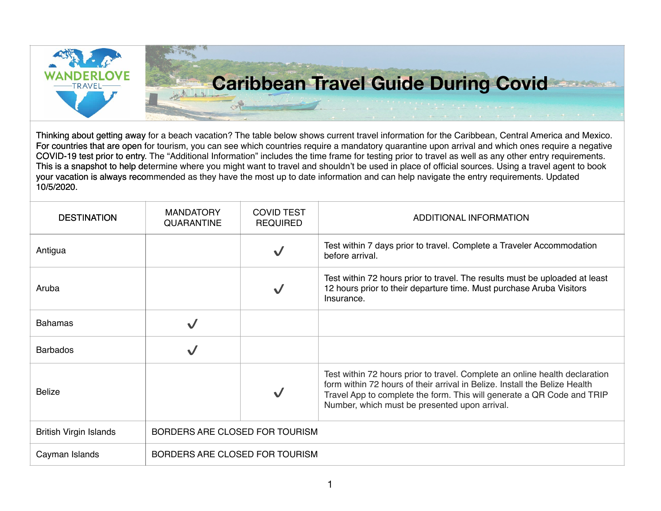

| <b>DESTINATION</b>            | <b>MANDATORY</b><br><b>QUARANTINE</b> | <b>COVID TEST</b><br><b>REQUIRED</b> | ADDITIONAL INFORMATION                                                                                                                                                                                                                                                               |
|-------------------------------|---------------------------------------|--------------------------------------|--------------------------------------------------------------------------------------------------------------------------------------------------------------------------------------------------------------------------------------------------------------------------------------|
| Antigua                       |                                       |                                      | Test within 7 days prior to travel. Complete a Traveler Accommodation<br>before arrival.                                                                                                                                                                                             |
| Aruba                         |                                       | V                                    | Test within 72 hours prior to travel. The results must be uploaded at least<br>12 hours prior to their departure time. Must purchase Aruba Visitors<br>Insurance.                                                                                                                    |
| <b>Bahamas</b>                |                                       |                                      |                                                                                                                                                                                                                                                                                      |
| <b>Barbados</b>               |                                       |                                      |                                                                                                                                                                                                                                                                                      |
| <b>Belize</b>                 |                                       |                                      | Test within 72 hours prior to travel. Complete an online health declaration<br>form within 72 hours of their arrival in Belize. Install the Belize Health<br>Travel App to complete the form. This will generate a QR Code and TRIP<br>Number, which must be presented upon arrival. |
| <b>British Virgin Islands</b> | BORDERS ARE CLOSED FOR TOURISM        |                                      |                                                                                                                                                                                                                                                                                      |
| Cayman Islands                | BORDERS ARE CLOSED FOR TOURISM        |                                      |                                                                                                                                                                                                                                                                                      |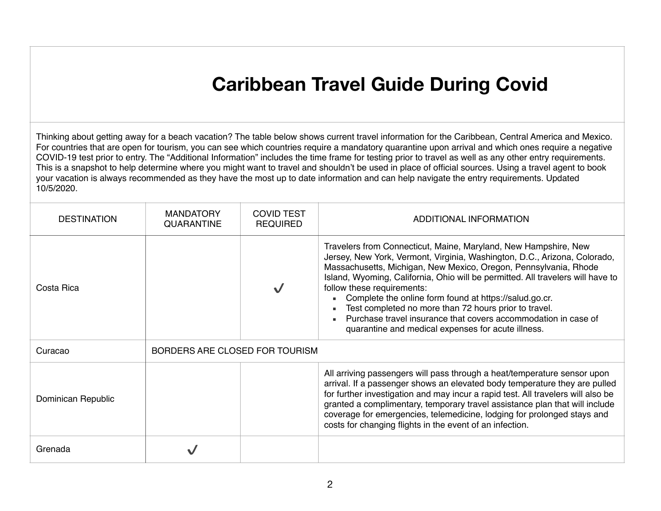## **Caribbean Travel Guide During Covid**

| <b>DESTINATION</b> | <b>MANDATORY</b><br><b>QUARANTINE</b> | <b>COVID TEST</b><br><b>REQUIRED</b> | ADDITIONAL INFORMATION                                                                                                                                                                                                                                                                                                                                                                                                                                                                                                                                                       |
|--------------------|---------------------------------------|--------------------------------------|------------------------------------------------------------------------------------------------------------------------------------------------------------------------------------------------------------------------------------------------------------------------------------------------------------------------------------------------------------------------------------------------------------------------------------------------------------------------------------------------------------------------------------------------------------------------------|
| Costa Rica         |                                       |                                      | Travelers from Connecticut, Maine, Maryland, New Hampshire, New<br>Jersey, New York, Vermont, Virginia, Washington, D.C., Arizona, Colorado,<br>Massachusetts, Michigan, New Mexico, Oregon, Pennsylvania, Rhode<br>Island, Wyoming, California, Ohio will be permitted. All travelers will have to<br>follow these requirements:<br>Complete the online form found at https://salud.go.cr.<br>Test completed no more than 72 hours prior to travel.<br>Purchase travel insurance that covers accommodation in case of<br>quarantine and medical expenses for acute illness. |
| Curacao            | BORDERS ARE CLOSED FOR TOURISM        |                                      |                                                                                                                                                                                                                                                                                                                                                                                                                                                                                                                                                                              |
| Dominican Republic |                                       |                                      | All arriving passengers will pass through a heat/temperature sensor upon<br>arrival. If a passenger shows an elevated body temperature they are pulled<br>for further investigation and may incur a rapid test. All travelers will also be<br>granted a complimentary, temporary travel assistance plan that will include<br>coverage for emergencies, telemedicine, lodging for prolonged stays and<br>costs for changing flights in the event of an infection.                                                                                                             |
| Grenada            |                                       |                                      |                                                                                                                                                                                                                                                                                                                                                                                                                                                                                                                                                                              |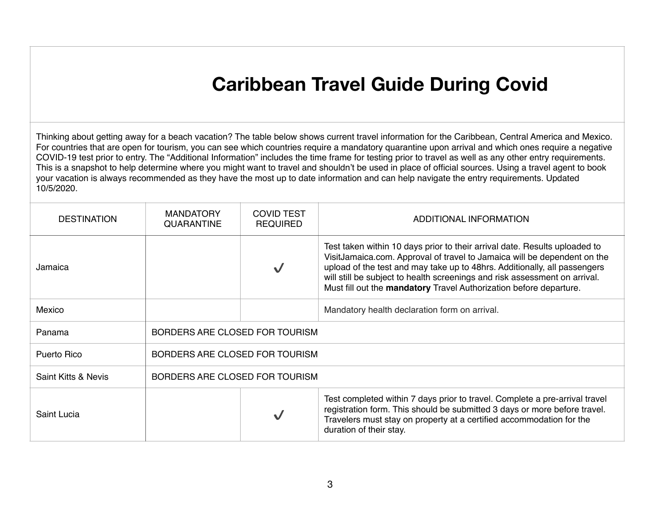## **Caribbean Travel Guide During Covid**

| <b>DESTINATION</b>             | <b>MANDATORY</b><br><b>QUARANTINE</b> | <b>COVID TEST</b><br><b>REQUIRED</b> | ADDITIONAL INFORMATION                                                                                                                                                                                                                                                                                                                                                                  |
|--------------------------------|---------------------------------------|--------------------------------------|-----------------------------------------------------------------------------------------------------------------------------------------------------------------------------------------------------------------------------------------------------------------------------------------------------------------------------------------------------------------------------------------|
| Jamaica                        |                                       |                                      | Test taken within 10 days prior to their arrival date. Results uploaded to<br>VisitJamaica.com. Approval of travel to Jamaica will be dependent on the<br>upload of the test and may take up to 48hrs. Additionally, all passengers<br>will still be subject to health screenings and risk assessment on arrival.<br>Must fill out the mandatory Travel Authorization before departure. |
| Mexico                         |                                       |                                      | Mandatory health declaration form on arrival.                                                                                                                                                                                                                                                                                                                                           |
| Panama                         | BORDERS ARE CLOSED FOR TOURISM        |                                      |                                                                                                                                                                                                                                                                                                                                                                                         |
| <b>Puerto Rico</b>             | BORDERS ARE CLOSED FOR TOURISM        |                                      |                                                                                                                                                                                                                                                                                                                                                                                         |
| <b>Saint Kitts &amp; Nevis</b> | BORDERS ARE CLOSED FOR TOURISM        |                                      |                                                                                                                                                                                                                                                                                                                                                                                         |
| Saint Lucia                    |                                       |                                      | Test completed within 7 days prior to travel. Complete a pre-arrival travel<br>registration form. This should be submitted 3 days or more before travel.<br>Travelers must stay on property at a certified accommodation for the<br>duration of their stay.                                                                                                                             |